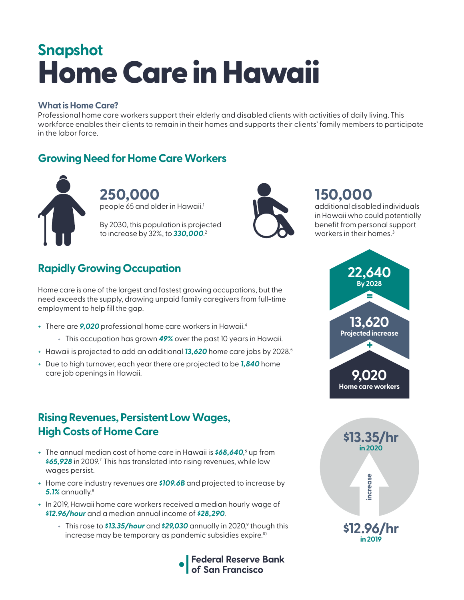# Home Care in Hawaii **Snapshot**

#### **What is Home Care?**

Professional home care workers support their elderly and disabled clients with activities of daily living. This workforce enables their clients to remain in their homes and supports their clients' family members to participate in the labor force.

### **Growing Need for Home Care Workers**



**250,000**  people 65 and older in Hawaii.<sup>1</sup>

By 2030, this population is projected to increase by 32%, to *330,000*. 2



# **150,000**

additional disabled individuals in Hawaii who could potentially benefit from personal support workers in their homes.<sup>3</sup>

# **Rapidly Growing Occupation**

Home care is one of the largest and fastest growing occupations, but the need exceeds the supply, drawing unpaid family caregivers from full-time employment to help fill the gap.

- + There are *9,020* professional home care workers in Hawaii.4
	- + This occupation has grown *49%* over the past 10 years in Hawaii.
- + Hawaii is projected to add an additional *13,620* home care jobs by 2028.5
- + Due to high turnover, each year there are projected to be *1,840* home care job openings in Hawaii.

### **Rising Revenues, Persistent Low Wages, High Costs of Home Care**

- + The annual median cost of home care in Hawaii is **\$68,640**,<sup>6</sup> up from \$65,928 in 2009.<sup>7</sup> This has translated into rising revenues, while low wages persist.
- + Home care industry revenues are *\$109.6B* and projected to increase by *5.1%* annually.8
- + In 2019, Hawaii home care workers received a median hourly wage of *\$12.96/hour* and a median annual income of *\$28,290*.
	- + This rose to **\$13.35/hour** and **\$29,030** annually in 2020,<sup>9</sup> though this increase may be temporary as pandemic subsidies expire.<sup>10</sup>





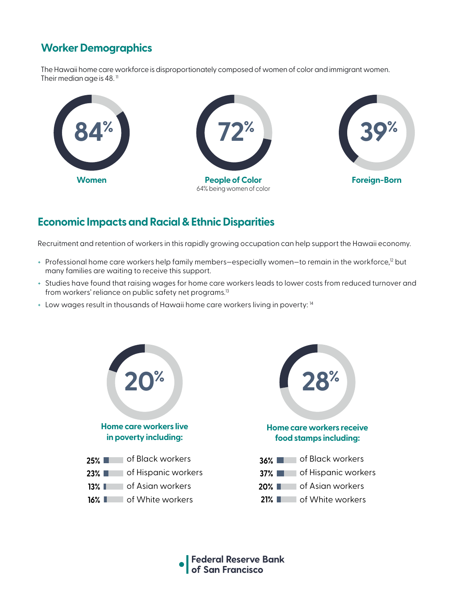# **Worker Demographics**

The Hawaii home care workforce is disproportionately composed of women of color and immigrant women. Their median age is 48. $<sup>11</sup>$ </sup>



### **Economic Impacts and Racial & Ethnic Disparities**

Recruitment and retention of workers in this rapidly growing occupation can help support the Hawaii economy.

- + Professional home care workers help family members-especially women-to remain in the workforce,<sup>12</sup> but many families are waiting to receive this support.
- + Studies have found that raising wages for home care workers leads to lower costs from reduced turnover and from workers' reliance on public safety net programs.<sup>13</sup>
- + Low wages result in thousands of Hawaii home care workers living in poverty: 14